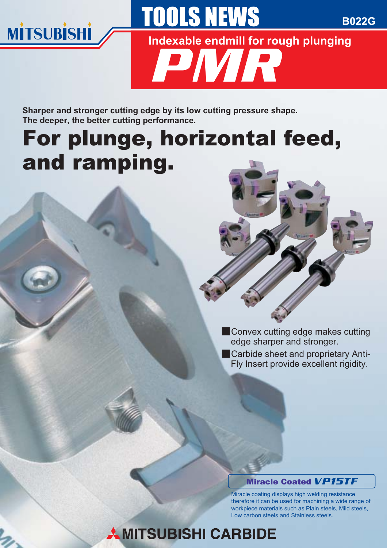

**B022G**

**Indexable endmill for rough plunging**

PMR

**TOOLS NEWS** 

**Sharper and stronger cutting edge by its low cutting pressure shape. The deeper, the better cutting performance.** 

# For plunge, horizontal feed, and ramping.



- **Convex cutting edge makes cutting** edge sharper and stronger.
- **Carbide sheet and proprietary Anti-**Fly Insert provide excellent rigidity.

#### Miracle Coated VP15TF

Miracle coating displays high welding resistance therefore it can be used for machining a wide range of workpiece materials such as Plain steels, Mild steels, Low carbon steels and Stainless steels.

## **AMITSUBISHI CARBIDE**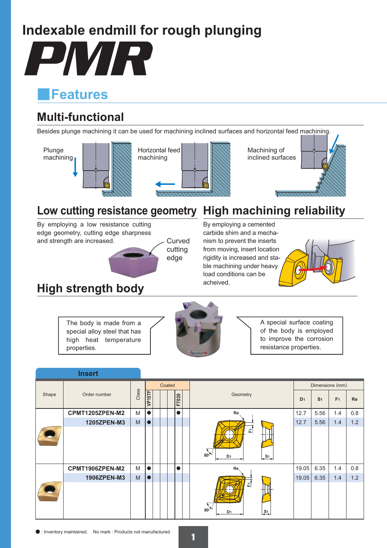### **Indexable endmill for rough plunging**

PMR

### y**Features**

### **Multi-functional**

Besides plunge machining it can be used for machining inclined surfaces and horizontal feed machining.



### **Low cutting resistance geometry High machining reliability**

By employing a low resistance cutting edge geometry, cutting edge sharpness and strength are increased.



### **High strength body**

### By employing a cemented

carbide shim and a mechanism to prevent the inserts from moving, insert location rigidity is increased and stable machining under heavy load conditions can be acheived.



The body is made from a special alloy steel that has high heat temperature properties.



A special surface coating of the body is employed to improve the corrosion resistance properties.

|       | <b>Insert</b>   |       |           |  |  |  |           |                                                        |                 |                |                |           |
|-------|-----------------|-------|-----------|--|--|--|-----------|--------------------------------------------------------|-----------------|----------------|----------------|-----------|
|       | Order number    |       | Coated    |  |  |  |           |                                                        | Dimensions (mm) |                |                |           |
| Shape |                 | Class | VP15TF    |  |  |  | F7030     | Geometry                                               | D <sub>1</sub>  | S <sub>1</sub> | F <sub>1</sub> | <b>Re</b> |
|       | CPMT1205ZPEN-M2 | M     | $\bullet$ |  |  |  | $\bullet$ | Re                                                     | 12.7            | 5.56           | 1.4            | 0.8       |
|       | 1205ZPEN-M3     | M     | $\bullet$ |  |  |  |           |                                                        | 12.7            | 5.56           | 1.4            | 1.2       |
|       |                 |       |           |  |  |  |           | 正<br>$80^*$<br>D <sub>1</sub><br>$\frac{S_1}{4}$       |                 |                |                |           |
|       | CPMT1906ZPEN-M2 | M     |           |  |  |  | $\bullet$ | Re,                                                    | 19.05           | 6.35           | 1.4            | 0.8       |
|       | 1906ZPEN-M3     | M     | $\bullet$ |  |  |  |           |                                                        | 19.05           | 6.35           | 1.4            | 1.2       |
|       |                 |       |           |  |  |  |           | 군<br>$80^\circ$<br>$\frac{S_1}{S_2}$<br>D <sub>1</sub> |                 |                |                |           |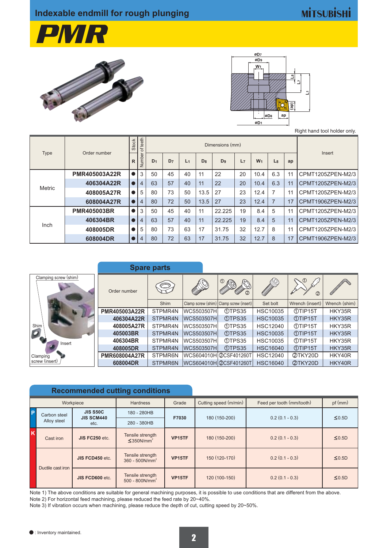### **MİTSUBİSHİ**







Right hand tool holder only.

|               | Order number         | <b>Stock</b> | teeth<br>đ                             |                |                |                |                |                |    |                |                |    |                   |
|---------------|----------------------|--------------|----------------------------------------|----------------|----------------|----------------|----------------|----------------|----|----------------|----------------|----|-------------------|
| Type          |                      | $\mathsf{R}$ | $\overline{\sigma}$<br><b>Amp</b><br>z | D <sub>1</sub> | D <sub>7</sub> | L <sub>1</sub> | D <sub>8</sub> | D <sub>9</sub> | L7 | W <sub>1</sub> | L8             | ap | Insert            |
|               | <b>PMR405003A22R</b> |              | 3                                      | 50             | 45             | 40             | 11             | 22             | 20 | 10.4           | 6.3            | 11 | CPMT1205ZPEN-M2/3 |
| <b>Metric</b> | 406304A22R           |              | 4                                      | 63             | 57             | 40             | 11             | 22             | 20 | 10.4           | 6.3            | 11 | CPMT1205ZPEN-M2/3 |
|               | 408005A27R           |              | 5                                      | 80             | 73             | 50             | 13.5           | 27             | 23 | 12.4           | 7              | 11 | CPMT1205ZPEN-M2/3 |
|               | 608004A27R           |              | 4                                      | 80             | 72             | 50             | 13.5           | 27             | 23 | 12.4           | $\overline{7}$ | 17 | CPMT1906ZPEN-M2/3 |
|               | <b>PMR405003BR</b>   |              | 3                                      | 50             | 45             | 40             | 11             | 22.225         | 19 | 8.4            | 5              | 11 | CPMT1205ZPEN-M2/3 |
|               | 406304BR             |              | 4                                      | 63             | 57             | 40             | 11             | 22.225         | 19 | 8.4            | 5              | 11 | CPMT1205ZPEN-M2/3 |
| Inch          | 408005DR             |              | 5                                      | 80             | 73             | 63             | 17             | 31.75          | 32 | 12.7           | 8              | 11 | CPMT1205ZPEN-M2/3 |
|               | 608004DR             |              | 4                                      | 80             | 72             | 63             | 17             | 31.75          | 32 | 12.7           | 8              | 17 | CPMT1906ZPEN-M2/3 |

|                       | <b>Spare parts</b>   |             |                         |                                         |                          |                 |               |
|-----------------------|----------------------|-------------|-------------------------|-----------------------------------------|--------------------------|-----------------|---------------|
| Clamping screw (shim) | Order number         | نے          |                         | CONTACTORY                              | <b>CONTROLLED BY AND</b> | $\Omega$<br>2   |               |
|                       |                      | <b>Shim</b> |                         | Clamp screw (shim) Clamp screw (insert) | Set bolt                 | Wrench (insert) | Wrench (shim) |
|                       | <b>PMR405003A22R</b> | STPMR4N     | <b>WCS503507H</b>       | 1TPS35                                  | <b>HSC10035</b>          | <b>MTIP15T</b>  | HKY35R        |
|                       | 406304A22R           | STPMR4N     | <b>IWCS503507HI</b>     | 10TPS35                                 | <b>HSC10035</b>          | <b>MTIP15T</b>  | HKY35R        |
| Shim                  | 408005A27R           | STPMR4N     | lwCS503507Hl            | 10TPS35                                 | <b>HSC12040</b>          | <b>MTIP15T</b>  | HKY35R        |
|                       | 405003BR             | STPMR4N     | <b>WCS503507H</b>       | <b>1</b> TPS35                          | <b>HSC10035</b>          | <b>MTIP15T</b>  | HKY35R        |
| Insert                | 406304BR             | STPMR4N     | WCS503507H              | 10TPS35                                 | <b>HSC10035</b>          | <b>MTIP15T</b>  | HKY35R        |
|                       | 408005DR             | STPMR4N     | WCS503507H              | <b>1DTPS35</b>                          | <b>HSC16040</b>          | <b>MTIP15T</b>  | HKY35R        |
| Clamping              | <b>PMR608004A27R</b> | STPMR6N     | lWCS604010HI@CSF401260T |                                         | <b>HSC12040</b>          | 2TKY20D         | HKY40R        |
| screw (insert)        | 608004DR             | STPMR6N     | WCS604010H @CSF401260T  |                                         | <b>HSC16040</b>          | 2TKY20D         | HKY40R        |

|          |                   |                                      | <b>Recommended cutting conditions</b>           |        |                       |                           |             |  |
|----------|-------------------|--------------------------------------|-------------------------------------------------|--------|-----------------------|---------------------------|-------------|--|
|          |                   | Workpiece                            | <b>Hardness</b>                                 | Grade  | Cutting speed (m/min) | Feed per tooth (mm/tooth) | pf(mm)      |  |
| <b>P</b> | Carbon steel      | <b>JIS S50C</b><br><b>JIS SCM440</b> | 180 - 280HB                                     | F7030  | 180 (150-200)         | $0.2(0.1 - 0.3)$          | $\leq$ 0.5D |  |
|          | Alloy steel       | etc.                                 | 280 - 380HB                                     |        |                       |                           |             |  |
|          | Cast iron         | JIS FC250 etc.                       | Tensile strength<br>$\leq$ 350N/mm <sup>2</sup> | VP15TF | 180 (150-200)         | $0.2(0.1 - 0.3)$          | $\leq 0.5D$ |  |
|          | Ductile cast iron | JIS FCD450 etc.                      | Tensile strength<br>$360 - 500N/mm^2$           | VP15TF | 150 (120-170)         | $0.2(0.1 - 0.3)$          | $\leq 0.5D$ |  |
|          |                   | JIS FCD600 etc.                      | Tensile strength<br>$500 - 800N/mm^2$           | VP15TF | 120 (100-150)         | $0.2(0.1 - 0.3)$          | $\leq 0.5D$ |  |

Note 1) The above conditions are suitable for general machining purposes, it is possible to use conditions that are different from the above. Note 2) For horizontal feed machining, please reduced the feed rate by 20~40%.

Note 3) If vibration occurs when machining, please reduce the depth of cut, cutting speed by 20~50%.